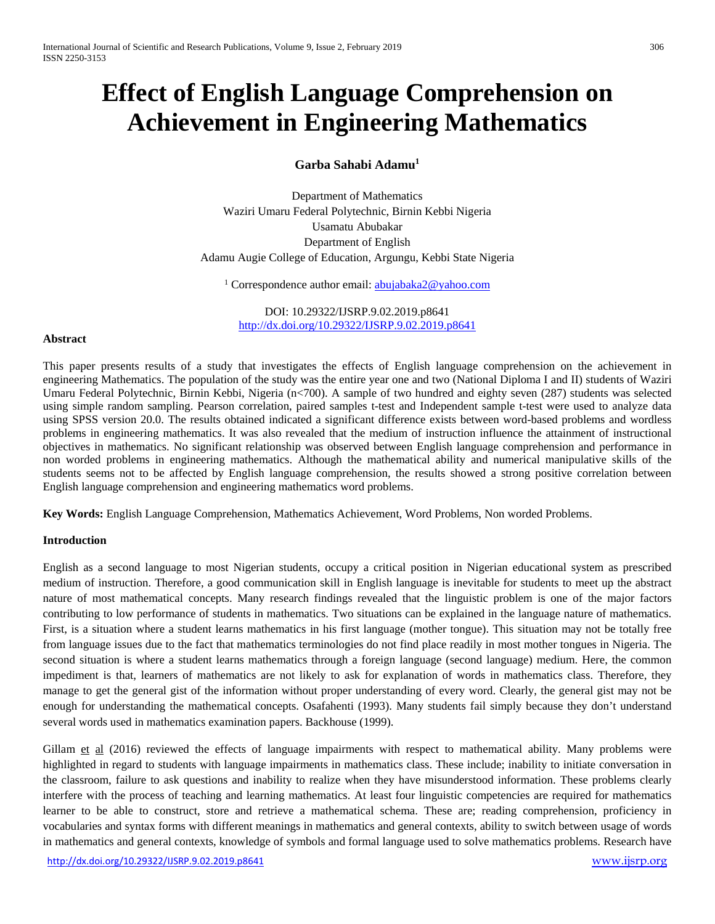# **Effect of English Language Comprehension on Achievement in Engineering Mathematics**

**Garba Sahabi Adamu1**

Department of Mathematics Waziri Umaru Federal Polytechnic, Birnin Kebbi Nigeria Usamatu Abubakar Department of English Adamu Augie College of Education, Argungu, Kebbi State Nigeria

<sup>1</sup> Correspondence author email: **abujabaka2@yahoo.com** 

DOI: 10.29322/IJSRP.9.02.2019.p8641 <http://dx.doi.org/10.29322/IJSRP.9.02.2019.p8641>

## **Abstract**

This paper presents results of a study that investigates the effects of English language comprehension on the achievement in engineering Mathematics. The population of the study was the entire year one and two (National Diploma I and II) students of Waziri Umaru Federal Polytechnic, Birnin Kebbi, Nigeria (n<700). A sample of two hundred and eighty seven (287) students was selected using simple random sampling. Pearson correlation, paired samples t-test and Independent sample t-test were used to analyze data using SPSS version 20.0. The results obtained indicated a significant difference exists between word-based problems and wordless problems in engineering mathematics. It was also revealed that the medium of instruction influence the attainment of instructional objectives in mathematics. No significant relationship was observed between English language comprehension and performance in non worded problems in engineering mathematics. Although the mathematical ability and numerical manipulative skills of the students seems not to be affected by English language comprehension, the results showed a strong positive correlation between English language comprehension and engineering mathematics word problems.

**Key Words:** English Language Comprehension, Mathematics Achievement, Word Problems, Non worded Problems.

## **Introduction**

English as a second language to most Nigerian students, occupy a critical position in Nigerian educational system as prescribed medium of instruction. Therefore, a good communication skill in English language is inevitable for students to meet up the abstract nature of most mathematical concepts. Many research findings revealed that the linguistic problem is one of the major factors contributing to low performance of students in mathematics. Two situations can be explained in the language nature of mathematics. First, is a situation where a student learns mathematics in his first language (mother tongue). This situation may not be totally free from language issues due to the fact that mathematics terminologies do not find place readily in most mother tongues in Nigeria. The second situation is where a student learns mathematics through a foreign language (second language) medium. Here, the common impediment is that, learners of mathematics are not likely to ask for explanation of words in mathematics class. Therefore, they manage to get the general gist of the information without proper understanding of every word. Clearly, the general gist may not be enough for understanding the mathematical concepts. Osafahenti (1993). Many students fail simply because they don't understand several words used in mathematics examination papers. Backhouse (1999).

Gillam et al (2016) reviewed the effects of language impairments with respect to mathematical ability. Many problems were highlighted in regard to students with language impairments in mathematics class. These include; inability to initiate conversation in the classroom, failure to ask questions and inability to realize when they have misunderstood information. These problems clearly interfere with the process of teaching and learning mathematics. At least four linguistic competencies are required for mathematics learner to be able to construct, store and retrieve a mathematical schema. These are; reading comprehension, proficiency in vocabularies and syntax forms with different meanings in mathematics and general contexts, ability to switch between usage of words in mathematics and general contexts, knowledge of symbols and formal language used to solve mathematics problems. Research have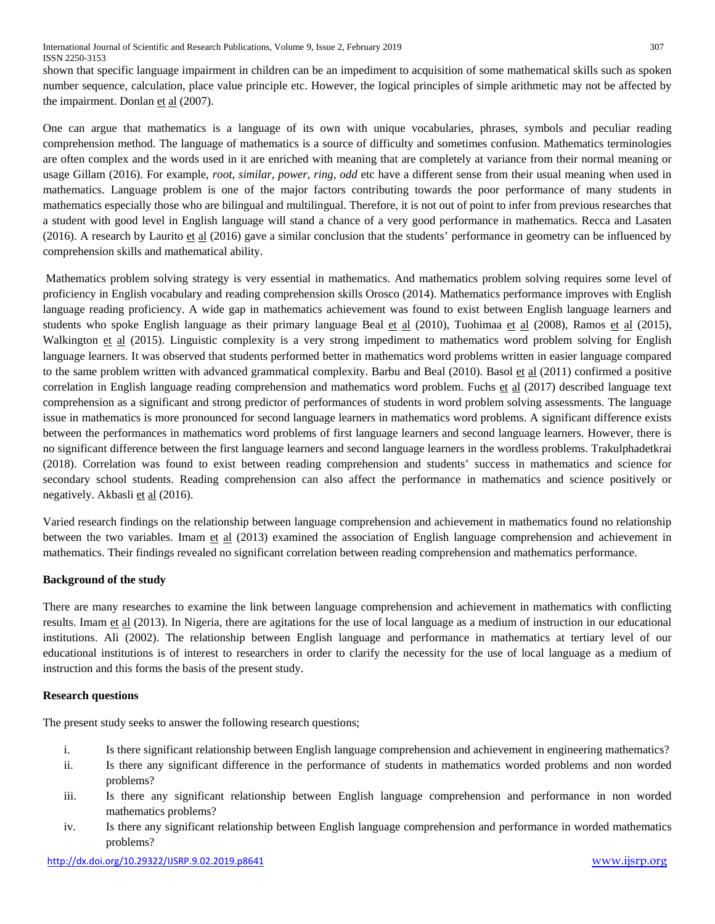shown that specific language impairment in children can be an impediment to acquisition of some mathematical skills such as spoken number sequence, calculation, place value principle etc. However, the logical principles of simple arithmetic may not be affected by the impairment. Donlan et al (2007).

One can argue that mathematics is a language of its own with unique vocabularies, phrases, symbols and peculiar reading comprehension method. The language of mathematics is a source of difficulty and sometimes confusion. Mathematics terminologies are often complex and the words used in it are enriched with meaning that are completely at variance from their normal meaning or usage Gillam (2016). For example, *root, similar, power, ring, odd* etc have a different sense from their usual meaning when used in mathematics. Language problem is one of the major factors contributing towards the poor performance of many students in mathematics especially those who are bilingual and multilingual. Therefore, it is not out of point to infer from previous researches that a student with good level in English language will stand a chance of a very good performance in mathematics. Recca and Lasaten  $(2016)$ . A research by Laurito et al  $(2016)$  gave a similar conclusion that the students' performance in geometry can be influenced by comprehension skills and mathematical ability.

Mathematics problem solving strategy is very essential in mathematics. And mathematics problem solving requires some level of proficiency in English vocabulary and reading comprehension skills Orosco (2014). Mathematics performance improves with English language reading proficiency. A wide gap in mathematics achievement was found to exist between English language learners and students who spoke English language as their primary language Beal et al  $(2010)$ , Tuohimaa et al  $(2008)$ , Ramos et al  $(2015)$ , Walkington et al (2015). Linguistic complexity is a very strong impediment to mathematics word problem solving for English language learners. It was observed that students performed better in mathematics word problems written in easier language compared to the same problem written with advanced grammatical complexity. Barbu and Beal (2010). Basol et al (2011) confirmed a positive correlation in English language reading comprehension and mathematics word problem. Fuchs et al (2017) described language text comprehension as a significant and strong predictor of performances of students in word problem solving assessments. The language issue in mathematics is more pronounced for second language learners in mathematics word problems. A significant difference exists between the performances in mathematics word problems of first language learners and second language learners. However, there is no significant difference between the first language learners and second language learners in the wordless problems. Trakulphadetkrai (2018). Correlation was found to exist between reading comprehension and students' success in mathematics and science for secondary school students. Reading comprehension can also affect the performance in mathematics and science positively or negatively. Akbasli et al (2016).

Varied research findings on the relationship between language comprehension and achievement in mathematics found no relationship between the two variables. Imam et al (2013) examined the association of English language comprehension and achievement in mathematics. Their findings revealed no significant correlation between reading comprehension and mathematics performance.

## **Background of the study**

There are many researches to examine the link between language comprehension and achievement in mathematics with conflicting results. Imam et al (2013). In Nigeria, there are agitations for the use of local language as a medium of instruction in our educational institutions. Ali (2002). The relationship between English language and performance in mathematics at tertiary level of our educational institutions is of interest to researchers in order to clarify the necessity for the use of local language as a medium of instruction and this forms the basis of the present study.

## **Research questions**

The present study seeks to answer the following research questions;

- i. Is there significant relationship between English language comprehension and achievement in engineering mathematics?
- ii. Is there any significant difference in the performance of students in mathematics worded problems and non worded problems?
- iii. Is there any significant relationship between English language comprehension and performance in non worded mathematics problems?
- iv. Is there any significant relationship between English language comprehension and performance in worded mathematics problems?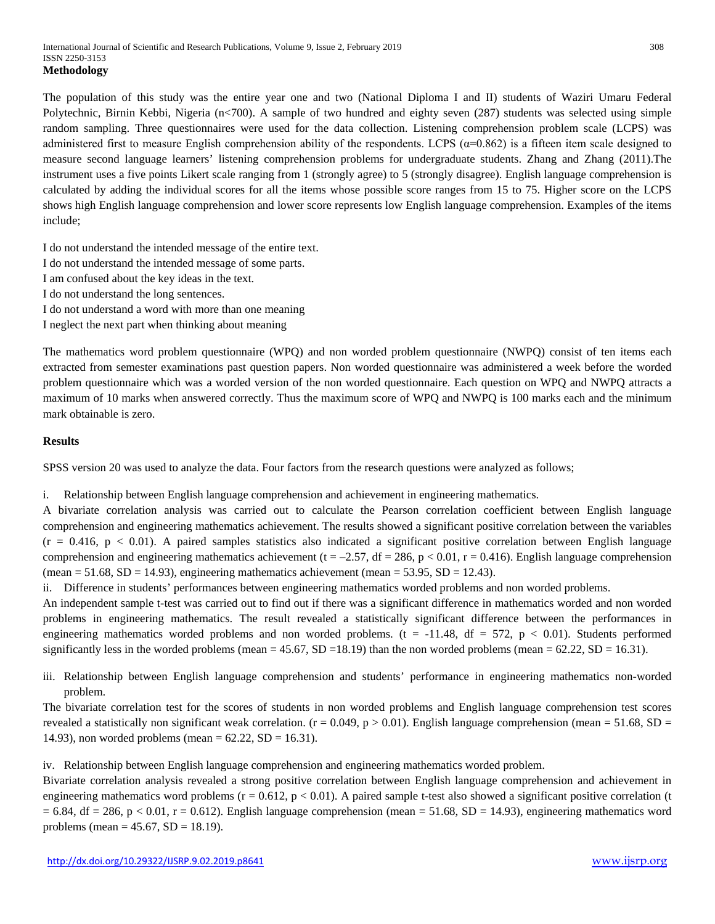The population of this study was the entire year one and two (National Diploma I and II) students of Waziri Umaru Federal Polytechnic, Birnin Kebbi, Nigeria (n<700). A sample of two hundred and eighty seven (287) students was selected using simple random sampling. Three questionnaires were used for the data collection. Listening comprehension problem scale (LCPS) was administered first to measure English comprehension ability of the respondents. LCPS (α=0.862) is a fifteen item scale designed to measure second language learners' listening comprehension problems for undergraduate students. Zhang and Zhang (2011).The instrument uses a five points Likert scale ranging from 1 (strongly agree) to 5 (strongly disagree). English language comprehension is calculated by adding the individual scores for all the items whose possible score ranges from 15 to 75. Higher score on the LCPS shows high English language comprehension and lower score represents low English language comprehension. Examples of the items include;

I do not understand the intended message of the entire text.

- I do not understand the intended message of some parts.
- I am confused about the key ideas in the text.
- I do not understand the long sentences.
- I do not understand a word with more than one meaning
- I neglect the next part when thinking about meaning

The mathematics word problem questionnaire (WPQ) and non worded problem questionnaire (NWPQ) consist of ten items each extracted from semester examinations past question papers. Non worded questionnaire was administered a week before the worded problem questionnaire which was a worded version of the non worded questionnaire. Each question on WPQ and NWPQ attracts a maximum of 10 marks when answered correctly. Thus the maximum score of WPQ and NWPQ is 100 marks each and the minimum mark obtainable is zero.

## **Results**

SPSS version 20 was used to analyze the data. Four factors from the research questions were analyzed as follows;

i. Relationship between English language comprehension and achievement in engineering mathematics.

A bivariate correlation analysis was carried out to calculate the Pearson correlation coefficient between English language comprehension and engineering mathematics achievement. The results showed a significant positive correlation between the variables  $(r = 0.416, p < 0.01)$ . A paired samples statistics also indicated a significant positive correlation between English language comprehension and engineering mathematics achievement (t = -2.57, df = 286, p < 0.01, r = 0.416). English language comprehension  $(\text{mean} = 51.68, SD = 14.93)$ , engineering mathematics achievement (mean = 53.95, SD = 12.43).

ii. Difference in students' performances between engineering mathematics worded problems and non worded problems.

An independent sample t-test was carried out to find out if there was a significant difference in mathematics worded and non worded problems in engineering mathematics. The result revealed a statistically significant difference between the performances in engineering mathematics worded problems and non worded problems. ( $t = -11.48$ ,  $df = 572$ ,  $p < 0.01$ ). Students performed significantly less in the worded problems (mean  $= 45.67$ , SD  $= 18.19$ ) than the non worded problems (mean  $= 62.22$ , SD  $= 16.31$ ).

iii. Relationship between English language comprehension and students' performance in engineering mathematics non-worded problem.

The bivariate correlation test for the scores of students in non worded problems and English language comprehension test scores revealed a statistically non significant weak correlation. ( $r = 0.049$ ,  $p > 0.01$ ). English language comprehension (mean = 51.68, SD = 14.93), non worded problems (mean =  $62.22$ , SD = 16.31).

iv. Relationship between English language comprehension and engineering mathematics worded problem.

Bivariate correlation analysis revealed a strong positive correlation between English language comprehension and achievement in engineering mathematics word problems  $(r = 0.612, p < 0.01)$ . A paired sample t-test also showed a significant positive correlation (t  $= 6.84$ , df  $= 286$ ,  $p < 0.01$ ,  $r = 0.612$ ). English language comprehension (mean  $= 51.68$ , SD  $= 14.93$ ), engineering mathematics word problems (mean =  $45.67$ , SD = 18.19).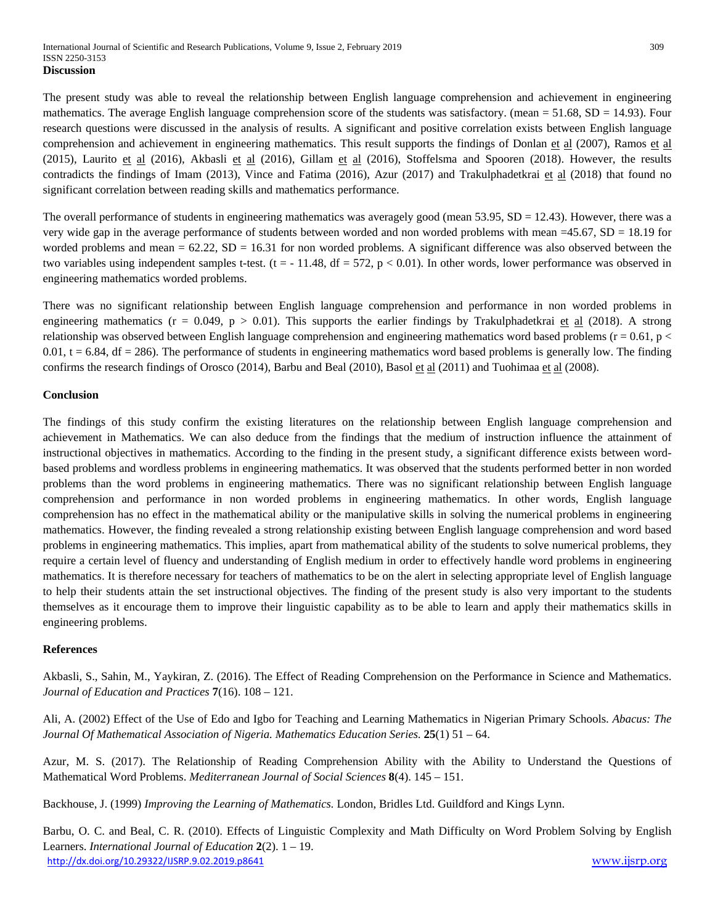The present study was able to reveal the relationship between English language comprehension and achievement in engineering mathematics. The average English language comprehension score of the students was satisfactory. (mean  $= 51.68$ , SD  $= 14.93$ ). Four research questions were discussed in the analysis of results. A significant and positive correlation exists between English language comprehension and achievement in engineering mathematics. This result supports the findings of Donlan et al (2007), Ramos et al (2015), Laurito et al (2016), Akbasli et al (2016), Gillam et al (2016), Stoffelsma and Spooren (2018). However, the results contradicts the findings of Imam (2013), Vince and Fatima (2016), Azur (2017) and Trakulphadetkrai et al (2018) that found no significant correlation between reading skills and mathematics performance.

The overall performance of students in engineering mathematics was averagely good (mean  $53.95$ ,  $SD = 12.43$ ). However, there was a very wide gap in the average performance of students between worded and non worded problems with mean =45.67, SD = 18.19 for worded problems and mean  $= 62.22$ ,  $SD = 16.31$  for non worded problems. A significant difference was also observed between the two variables using independent samples t-test.  $(t = -11.48, df = 572, p < 0.01)$ . In other words, lower performance was observed in engineering mathematics worded problems.

There was no significant relationship between English language comprehension and performance in non worded problems in engineering mathematics ( $r = 0.049$ ,  $p > 0.01$ ). This supports the earlier findings by Trakulphadetkrai et al (2018). A strong relationship was observed between English language comprehension and engineering mathematics word based problems ( $r = 0.61$ ,  $p <$  $0.01$ ,  $t = 6.84$ ,  $df = 286$ ). The performance of students in engineering mathematics word based problems is generally low. The finding confirms the research findings of Orosco (2014), Barbu and Beal (2010), Basol et al (2011) and Tuohimaa et al (2008).

## **Conclusion**

The findings of this study confirm the existing literatures on the relationship between English language comprehension and achievement in Mathematics. We can also deduce from the findings that the medium of instruction influence the attainment of instructional objectives in mathematics. According to the finding in the present study, a significant difference exists between wordbased problems and wordless problems in engineering mathematics. It was observed that the students performed better in non worded problems than the word problems in engineering mathematics. There was no significant relationship between English language comprehension and performance in non worded problems in engineering mathematics. In other words, English language comprehension has no effect in the mathematical ability or the manipulative skills in solving the numerical problems in engineering mathematics. However, the finding revealed a strong relationship existing between English language comprehension and word based problems in engineering mathematics. This implies, apart from mathematical ability of the students to solve numerical problems, they require a certain level of fluency and understanding of English medium in order to effectively handle word problems in engineering mathematics. It is therefore necessary for teachers of mathematics to be on the alert in selecting appropriate level of English language to help their students attain the set instructional objectives. The finding of the present study is also very important to the students themselves as it encourage them to improve their linguistic capability as to be able to learn and apply their mathematics skills in engineering problems.

## **References**

Akbasli, S., Sahin, M., Yaykiran, Z. (2016). The Effect of Reading Comprehension on the Performance in Science and Mathematics. *Journal of Education and Practices* **7**(16). 108 – 121.

Ali, A. (2002) Effect of the Use of Edo and Igbo for Teaching and Learning Mathematics in Nigerian Primary Schools. *Abacus: The Journal Of Mathematical Association of Nigeria. Mathematics Education Series.* **25**(1) 51 – 64.

Azur, M. S. (2017). The Relationship of Reading Comprehension Ability with the Ability to Understand the Questions of Mathematical Word Problems. *Mediterranean Journal of Social Sciences* **8**(4). 145 – 151.

Backhouse, J. (1999) *Improving the Learning of Mathematics.* London, Bridles Ltd. Guildford and Kings Lynn.

<http://dx.doi.org/10.29322/IJSRP.9.02.2019.p8641> [www.ijsrp.org](http://www.ijsrp.org/) Barbu, O. C. and Beal, C. R. (2010). Effects of Linguistic Complexity and Math Difficulty on Word Problem Solving by English Learners. *International Journal of Education* **2**(2). 1 – 19.